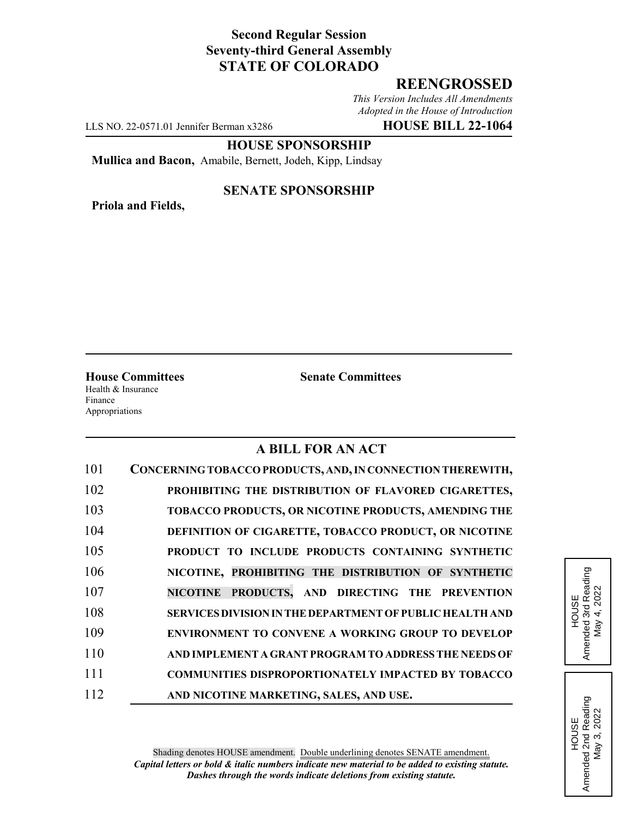# **Second Regular Session Seventy-third General Assembly STATE OF COLORADO**

# **REENGROSSED**

*This Version Includes All Amendments Adopted in the House of Introduction*

LLS NO. 22-0571.01 Jennifer Berman x3286 **HOUSE BILL 22-1064**

## **HOUSE SPONSORSHIP**

**Mullica and Bacon,** Amabile, Bernett, Jodeh, Kipp, Lindsay

**Priola and Fields,**

## **SENATE SPONSORSHIP**

**House Committees Senate Committees** Health & Insurance Finance Appropriations

# **A BILL FOR AN ACT**

| 101 | CONCERNING TOBACCO PRODUCTS, AND, IN CONNECTION THEREWITH,      |
|-----|-----------------------------------------------------------------|
| 102 | PROHIBITING THE DISTRIBUTION OF FLAVORED CIGARETTES,            |
| 103 | TOBACCO PRODUCTS, OR NICOTINE PRODUCTS, AMENDING THE            |
| 104 | DEFINITION OF CIGARETTE, TOBACCO PRODUCT, OR NICOTINE           |
| 105 | PRODUCT TO INCLUDE PRODUCTS CONTAINING SYNTHETIC                |
| 106 | NICOTINE, PROHIBITING THE DISTRIBUTION OF SYNTHETIC             |
| 107 | NICOTINE PRODUCTS, AND DIRECTING THE PREVENTION                 |
| 108 | <b>SERVICES DIVISION IN THE DEPARTMENT OF PUBLIC HEALTH AND</b> |
| 109 | <b>ENVIRONMENT TO CONVENE A WORKING GROUP TO DEVELOP</b>        |
| 110 | AND IMPLEMENT A GRANT PROGRAM TO ADDRESS THE NEEDS OF           |
| 111 | <b>COMMUNITIES DISPROPORTIONATELY IMPACTED BY TOBACCO</b>       |
| 112 | AND NICOTINE MARKETING, SALES, AND USE.                         |

HOUSE<br>Amended 3rd Reading<br>May 4, 2022 Amended 3rd Reading May 4, 2022

HOUSE<br>Amended 2nd Reading<br>May 3, 2022 Amended 2nd Reading May 3, 2022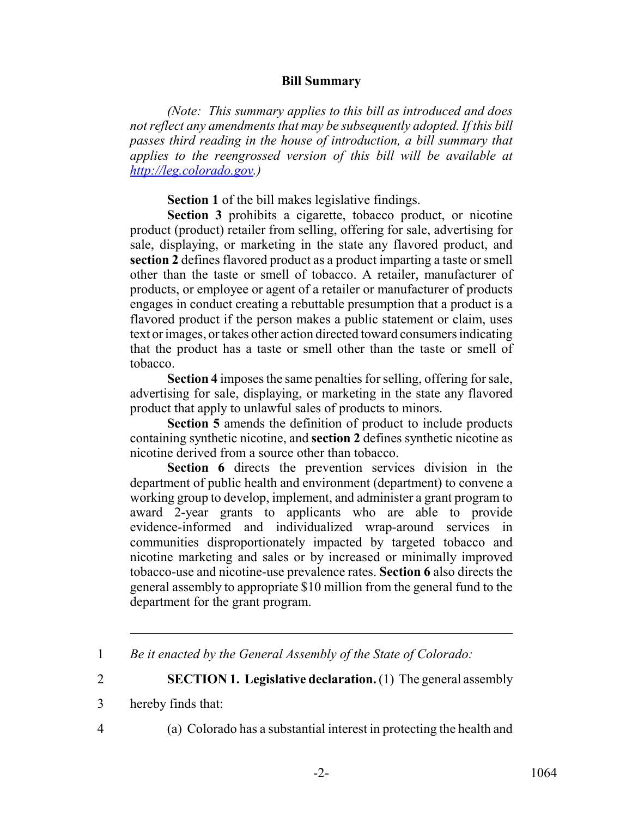## **Bill Summary**

*(Note: This summary applies to this bill as introduced and does not reflect any amendments that may be subsequently adopted. If this bill passes third reading in the house of introduction, a bill summary that applies to the reengrossed version of this bill will be available at http://leg.colorado.gov.)*

**Section 1** of the bill makes legislative findings.

**Section 3** prohibits a cigarette, tobacco product, or nicotine product (product) retailer from selling, offering for sale, advertising for sale, displaying, or marketing in the state any flavored product, and **section 2** defines flavored product as a product imparting a taste or smell other than the taste or smell of tobacco. A retailer, manufacturer of products, or employee or agent of a retailer or manufacturer of products engages in conduct creating a rebuttable presumption that a product is a flavored product if the person makes a public statement or claim, uses text or images, or takes other action directed toward consumers indicating that the product has a taste or smell other than the taste or smell of tobacco.

**Section 4** imposes the same penalties for selling, offering for sale, advertising for sale, displaying, or marketing in the state any flavored product that apply to unlawful sales of products to minors.

**Section 5** amends the definition of product to include products containing synthetic nicotine, and **section 2** defines synthetic nicotine as nicotine derived from a source other than tobacco.

**Section 6** directs the prevention services division in the department of public health and environment (department) to convene a working group to develop, implement, and administer a grant program to award 2-year grants to applicants who are able to provide evidence-informed and individualized wrap-around services in communities disproportionately impacted by targeted tobacco and nicotine marketing and sales or by increased or minimally improved tobacco-use and nicotine-use prevalence rates. **Section 6** also directs the general assembly to appropriate \$10 million from the general fund to the department for the grant program.

2 **SECTION 1. Legislative declaration.** (1) The general assembly

- 3 hereby finds that:
- 

4 (a) Colorado has a substantial interest in protecting the health and

<sup>1</sup> *Be it enacted by the General Assembly of the State of Colorado:*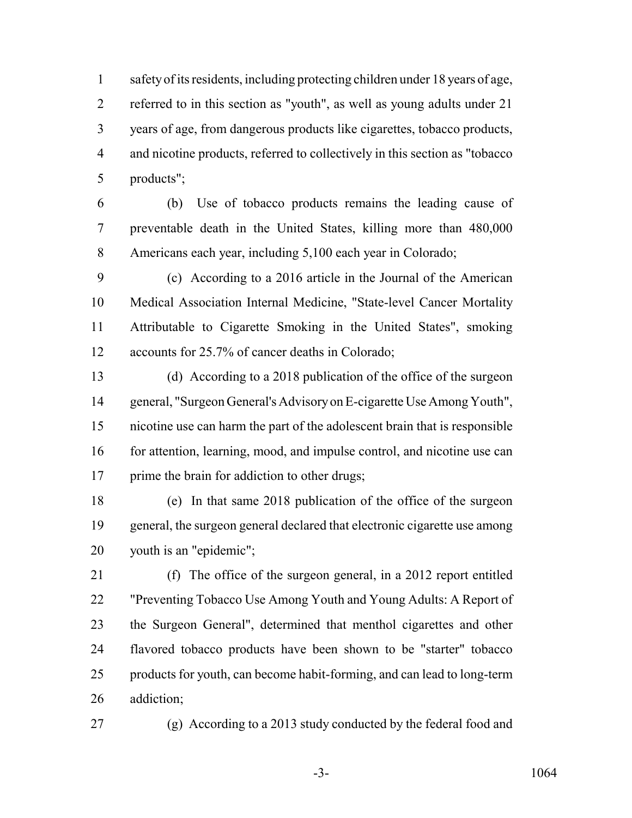safety of its residents, including protecting children under 18 years of age, referred to in this section as "youth", as well as young adults under 21 years of age, from dangerous products like cigarettes, tobacco products, and nicotine products, referred to collectively in this section as "tobacco products";

 (b) Use of tobacco products remains the leading cause of preventable death in the United States, killing more than 480,000 Americans each year, including 5,100 each year in Colorado;

 (c) According to a 2016 article in the Journal of the American Medical Association Internal Medicine, "State-level Cancer Mortality Attributable to Cigarette Smoking in the United States", smoking accounts for 25.7% of cancer deaths in Colorado;

 (d) According to a 2018 publication of the office of the surgeon general, "Surgeon General's Advisory on E-cigarette Use Among Youth", nicotine use can harm the part of the adolescent brain that is responsible 16 for attention, learning, mood, and impulse control, and nicotine use can 17 prime the brain for addiction to other drugs;

 (e) In that same 2018 publication of the office of the surgeon general, the surgeon general declared that electronic cigarette use among youth is an "epidemic";

 (f) The office of the surgeon general, in a 2012 report entitled "Preventing Tobacco Use Among Youth and Young Adults: A Report of the Surgeon General", determined that menthol cigarettes and other flavored tobacco products have been shown to be "starter" tobacco products for youth, can become habit-forming, and can lead to long-term addiction;

(g) According to a 2013 study conducted by the federal food and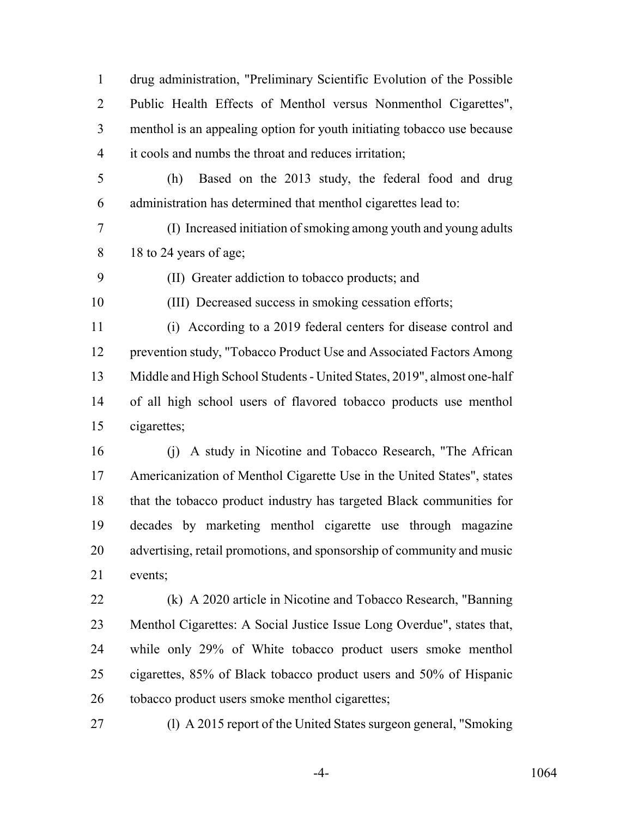drug administration, "Preliminary Scientific Evolution of the Possible Public Health Effects of Menthol versus Nonmenthol Cigarettes", menthol is an appealing option for youth initiating tobacco use because it cools and numbs the throat and reduces irritation;

- (h) Based on the 2013 study, the federal food and drug administration has determined that menthol cigarettes lead to:
- (I) Increased initiation of smoking among youth and young adults 8 18 to 24 years of age;
- (II) Greater addiction to tobacco products; and

(III) Decreased success in smoking cessation efforts;

 (i) According to a 2019 federal centers for disease control and prevention study, "Tobacco Product Use and Associated Factors Among Middle and High School Students - United States, 2019", almost one-half of all high school users of flavored tobacco products use menthol cigarettes;

 (j) A study in Nicotine and Tobacco Research, "The African Americanization of Menthol Cigarette Use in the United States", states that the tobacco product industry has targeted Black communities for decades by marketing menthol cigarette use through magazine advertising, retail promotions, and sponsorship of community and music events;

 (k) A 2020 article in Nicotine and Tobacco Research, "Banning Menthol Cigarettes: A Social Justice Issue Long Overdue", states that, while only 29% of White tobacco product users smoke menthol cigarettes, 85% of Black tobacco product users and 50% of Hispanic tobacco product users smoke menthol cigarettes;

(l) A 2015 report of the United States surgeon general, "Smoking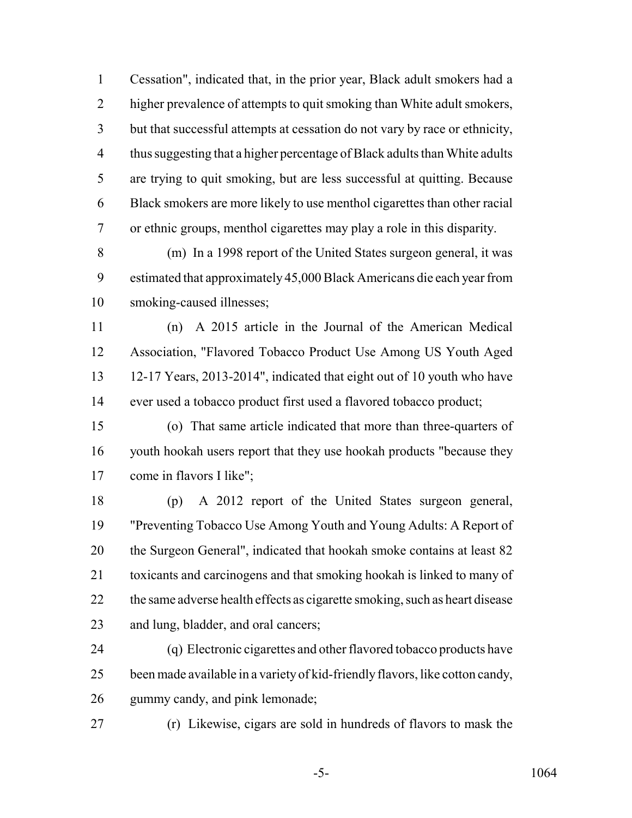Cessation", indicated that, in the prior year, Black adult smokers had a higher prevalence of attempts to quit smoking than White adult smokers, but that successful attempts at cessation do not vary by race or ethnicity, thus suggesting that a higher percentage of Black adults than White adults are trying to quit smoking, but are less successful at quitting. Because Black smokers are more likely to use menthol cigarettes than other racial or ethnic groups, menthol cigarettes may play a role in this disparity.

 (m) In a 1998 report of the United States surgeon general, it was estimated that approximately 45,000 Black Americans die each year from smoking-caused illnesses;

 (n) A 2015 article in the Journal of the American Medical Association, "Flavored Tobacco Product Use Among US Youth Aged 12-17 Years, 2013-2014", indicated that eight out of 10 youth who have ever used a tobacco product first used a flavored tobacco product;

 (o) That same article indicated that more than three-quarters of youth hookah users report that they use hookah products "because they come in flavors I like";

 (p) A 2012 report of the United States surgeon general, "Preventing Tobacco Use Among Youth and Young Adults: A Report of 20 the Surgeon General", indicated that hookah smoke contains at least 82 toxicants and carcinogens and that smoking hookah is linked to many of 22 the same adverse health effects as cigarette smoking, such as heart disease and lung, bladder, and oral cancers;

 (q) Electronic cigarettes and other flavored tobacco products have been made available in a variety of kid-friendly flavors, like cotton candy, gummy candy, and pink lemonade;

(r) Likewise, cigars are sold in hundreds of flavors to mask the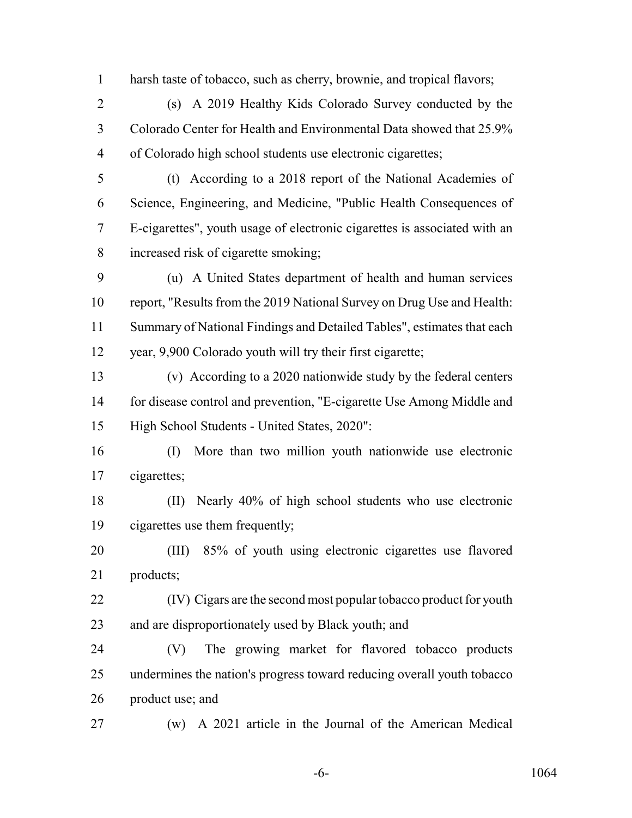harsh taste of tobacco, such as cherry, brownie, and tropical flavors;

 (s) A 2019 Healthy Kids Colorado Survey conducted by the Colorado Center for Health and Environmental Data showed that 25.9% of Colorado high school students use electronic cigarettes;

 (t) According to a 2018 report of the National Academies of Science, Engineering, and Medicine, "Public Health Consequences of E-cigarettes", youth usage of electronic cigarettes is associated with an increased risk of cigarette smoking;

 (u) A United States department of health and human services report, "Results from the 2019 National Survey on Drug Use and Health: Summary of National Findings and Detailed Tables", estimates that each year, 9,900 Colorado youth will try their first cigarette;

 (v) According to a 2020 nationwide study by the federal centers for disease control and prevention, "E-cigarette Use Among Middle and High School Students - United States, 2020":

- (I) More than two million youth nationwide use electronic cigarettes;
- (II) Nearly 40% of high school students who use electronic cigarettes use them frequently;
- (III) 85% of youth using electronic cigarettes use flavored products;
- (IV) Cigars are the second most popular tobacco product for youth and are disproportionately used by Black youth; and

 (V) The growing market for flavored tobacco products undermines the nation's progress toward reducing overall youth tobacco product use; and

(w) A 2021 article in the Journal of the American Medical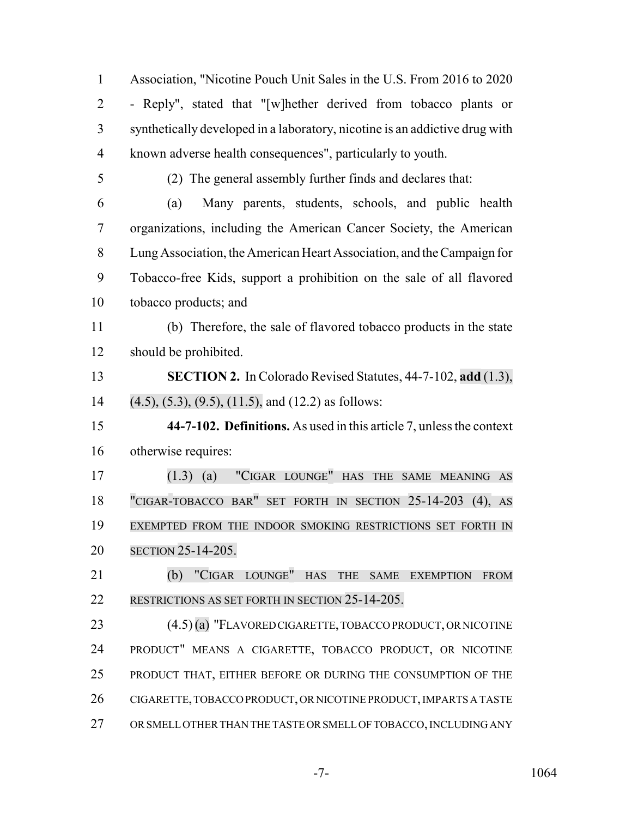Association, "Nicotine Pouch Unit Sales in the U.S. From 2016 to 2020 - Reply", stated that "[w]hether derived from tobacco plants or synthetically developed in a laboratory, nicotine is an addictive drug with known adverse health consequences", particularly to youth. (2) The general assembly further finds and declares that: (a) Many parents, students, schools, and public health organizations, including the American Cancer Society, the American Lung Association, the American Heart Association, and the Campaign for Tobacco-free Kids, support a prohibition on the sale of all flavored tobacco products; and (b) Therefore, the sale of flavored tobacco products in the state should be prohibited. **SECTION 2.** In Colorado Revised Statutes, 44-7-102, **add** (1.3), (4.5), (5.3), (9.5), (11.5), and (12.2) as follows: **44-7-102. Definitions.** As used in this article 7, unless the context otherwise requires: (1.3) (a) "CIGAR LOUNGE" HAS THE SAME MEANING AS "CIGAR-TOBACCO BAR" SET FORTH IN SECTION 25-14-203 (4), AS EXEMPTED FROM THE INDOOR SMOKING RESTRICTIONS SET FORTH IN SECTION 25-14-205. (b) "CIGAR LOUNGE" HAS THE SAME EXEMPTION FROM RESTRICTIONS AS SET FORTH IN SECTION 25-14-205. 23 (4.5) (a) "FLAVORED CIGARETTE, TOBACCO PRODUCT, OR NICOTINE PRODUCT" MEANS A CIGARETTE, TOBACCO PRODUCT, OR NICOTINE PRODUCT THAT, EITHER BEFORE OR DURING THE CONSUMPTION OF THE CIGARETTE, TOBACCO PRODUCT, OR NICOTINE PRODUCT, IMPARTS A TASTE OR SMELL OTHER THAN THE TASTE OR SMELL OF TOBACCO, INCLUDING ANY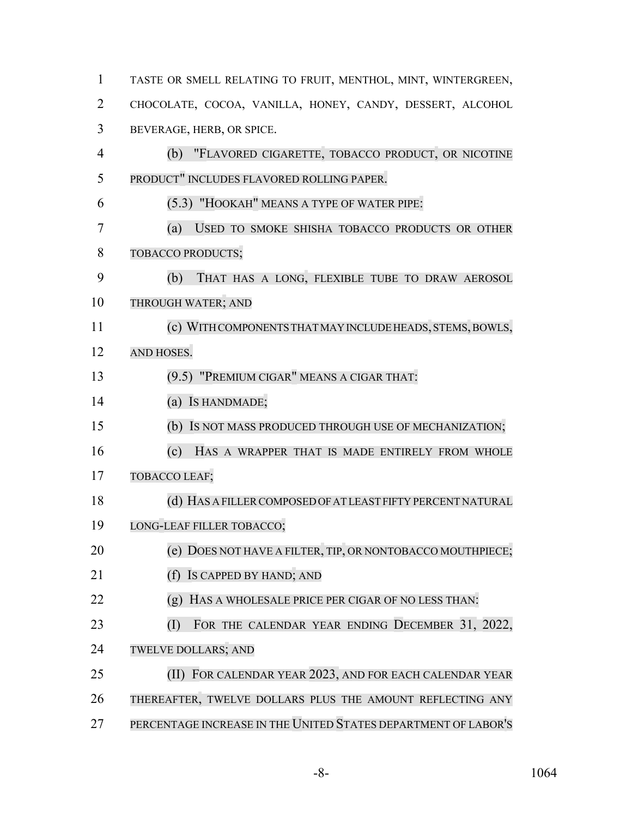| $\mathbf{1}$ | TASTE OR SMELL RELATING TO FRUIT, MENTHOL, MINT, WINTERGREEN,  |
|--------------|----------------------------------------------------------------|
| 2            | CHOCOLATE, COCOA, VANILLA, HONEY, CANDY, DESSERT, ALCOHOL      |
| 3            | BEVERAGE, HERB, OR SPICE.                                      |
| 4            | (b)<br>"FLAVORED CIGARETTE, TOBACCO PRODUCT, OR NICOTINE       |
| 5            | PRODUCT" INCLUDES FLAVORED ROLLING PAPER.                      |
| 6            | (5.3) "HOOKAH" MEANS A TYPE OF WATER PIPE:                     |
| 7            | (a)<br>USED TO SMOKE SHISHA TOBACCO PRODUCTS OR OTHER          |
| 8            | TOBACCO PRODUCTS;                                              |
| 9            | (b)<br>THAT HAS A LONG, FLEXIBLE TUBE TO DRAW AEROSOL          |
| 10           | THROUGH WATER; AND                                             |
| 11           | (c) WITH COMPONENTS THAT MAY INCLUDE HEADS, STEMS, BOWLS,      |
| 12           | AND HOSES.                                                     |
| 13           | (9.5) "PREMIUM CIGAR" MEANS A CIGAR THAT:                      |
| 14           | (a) Is HANDMADE;                                               |
| 15           | (b) Is not mass produced through use of MECHANIZATION;         |
| 16           | (c)<br>HAS A WRAPPER THAT IS MADE ENTIRELY FROM WHOLE          |
| 17           | TOBACCO LEAF;                                                  |
| 18           | (d) HAS A FILLER COMPOSED OF AT LEAST FIFTY PERCENT NATURAL    |
| 19           | LONG-LEAF FILLER TOBACCO;                                      |
| 20           | (e) DOES NOT HAVE A FILTER, TIP, OR NONTOBACCO MOUTHPIECE;     |
| 21           | IS CAPPED BY HAND; AND<br>(f)                                  |
| 22           | HAS A WHOLESALE PRICE PER CIGAR OF NO LESS THAN:<br>(g)        |
| 23           | FOR THE CALENDAR YEAR ENDING DECEMBER 31, 2022,<br>(I)         |
| 24           | <b>TWELVE DOLLARS; AND</b>                                     |
| 25           | (II) FOR CALENDAR YEAR 2023, AND FOR EACH CALENDAR YEAR        |
| 26           | THEREAFTER, TWELVE DOLLARS PLUS THE AMOUNT REFLECTING ANY      |
| 27           | PERCENTAGE INCREASE IN THE UNITED STATES DEPARTMENT OF LABOR'S |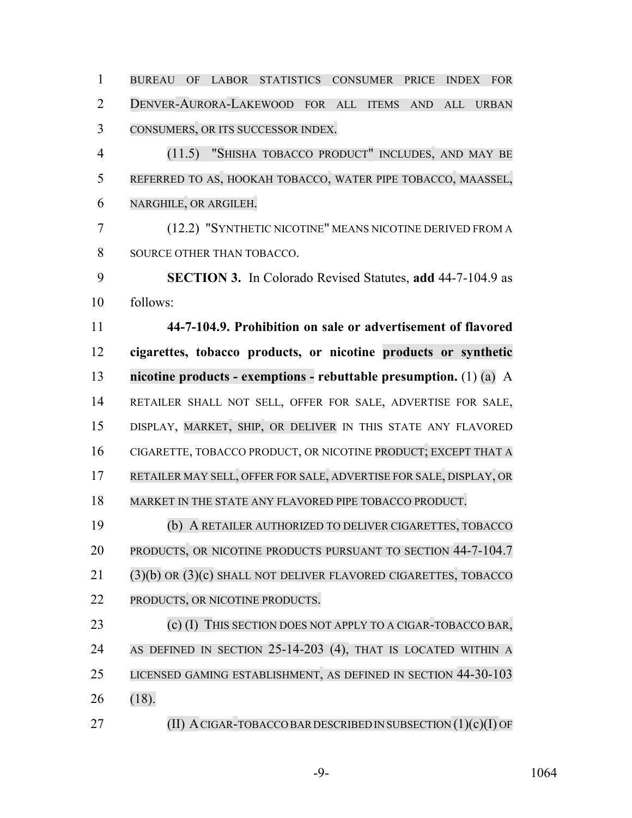| $\mathbf{1}$   | <b>BUREAU</b><br>OF<br>LABOR STATISTICS CONSUMER<br><b>FOR</b><br>PRICE<br><b>INDEX</b> |
|----------------|-----------------------------------------------------------------------------------------|
| $\overline{2}$ | DENVER-AURORA-LAKEWOOD FOR ALL<br><b>ITEMS</b><br><b>URBAN</b><br><b>AND</b><br>ALL     |
| 3              | CONSUMERS, OR ITS SUCCESSOR INDEX.                                                      |
| $\overline{4}$ | (11.5) "SHISHA TOBACCO PRODUCT" INCLUDES, AND MAY BE                                    |
| 5              | REFERRED TO AS, HOOKAH TOBACCO, WATER PIPE TOBACCO, MAASSEL,                            |
| 6              | NARGHILE, OR ARGILEH.                                                                   |
| 7              | (12.2) "SYNTHETIC NICOTINE" MEANS NICOTINE DERIVED FROM A                               |
| 8              | SOURCE OTHER THAN TOBACCO.                                                              |
| 9              | <b>SECTION 3.</b> In Colorado Revised Statutes, add 44-7-104.9 as                       |
| 10             | follows:                                                                                |
| 11             | 44-7-104.9. Prohibition on sale or advertisement of flavored                            |
| 12             | cigarettes, tobacco products, or nicotine products or synthetic                         |
| 13             | nicotine products - exemptions - rebuttable presumption. $(1)$ (a) A                    |
| 14             | RETAILER SHALL NOT SELL, OFFER FOR SALE, ADVERTISE FOR SALE,                            |
| 15             | DISPLAY, MARKET, SHIP, OR DELIVER IN THIS STATE ANY FLAVORED                            |
| 16             | CIGARETTE, TOBACCO PRODUCT, OR NICOTINE PRODUCT; EXCEPT THAT A                          |
| 17             | RETAILER MAY SELL, OFFER FOR SALE, ADVERTISE FOR SALE, DISPLAY, OR                      |
| 18             | MARKET IN THE STATE ANY FLAVORED PIPE TOBACCO PRODUCT.                                  |
| 19             | (b) A RETAILER AUTHORIZED TO DELIVER CIGARETTES, TOBACCO                                |
| 20             | PRODUCTS, OR NICOTINE PRODUCTS PURSUANT TO SECTION 44-7-104.7                           |
| 21             | (3)(b) OR (3)(c) SHALL NOT DELIVER FLAVORED CIGARETTES, TOBACCO                         |
| 22             | PRODUCTS, OR NICOTINE PRODUCTS.                                                         |
| 23             | THIS SECTION DOES NOT APPLY TO A CIGAR-TOBACCO BAR,<br>$(c)$ (I)                        |
| 24             | AS DEFINED IN SECTION 25-14-203 (4), THAT IS LOCATED WITHIN A                           |
| 25             | LICENSED GAMING ESTABLISHMENT, AS DEFINED IN SECTION 44-30-103                          |
| 26             | (18).                                                                                   |
| 27             | (II) A CIGAR-TOBACCO BAR DESCRIBED IN SUBSECTION $(1)(c)(I)$ OF                         |

-9- 1064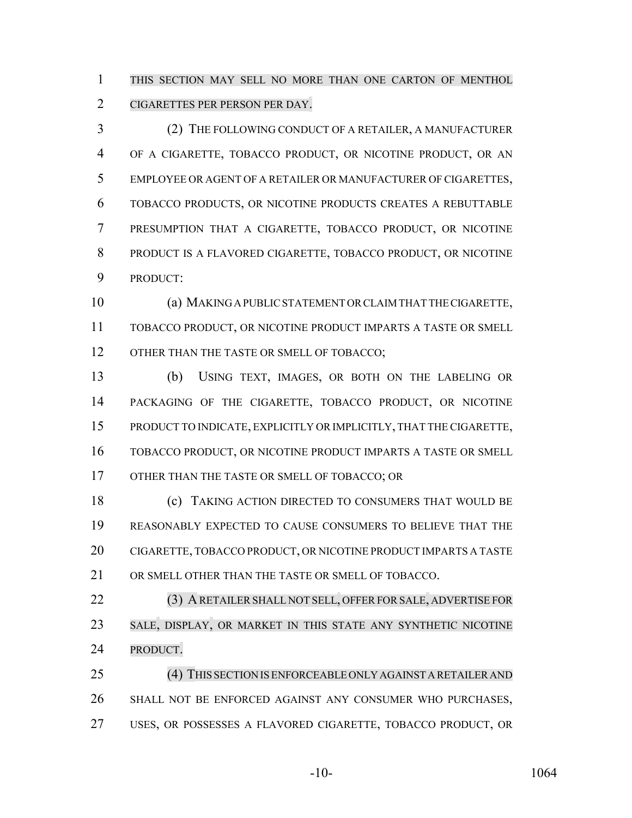THIS SECTION MAY SELL NO MORE THAN ONE CARTON OF MENTHOL CIGARETTES PER PERSON PER DAY.

 (2) THE FOLLOWING CONDUCT OF A RETAILER, A MANUFACTURER OF A CIGARETTE, TOBACCO PRODUCT, OR NICOTINE PRODUCT, OR AN EMPLOYEE OR AGENT OF A RETAILER OR MANUFACTURER OF CIGARETTES, TOBACCO PRODUCTS, OR NICOTINE PRODUCTS CREATES A REBUTTABLE PRESUMPTION THAT A CIGARETTE, TOBACCO PRODUCT, OR NICOTINE PRODUCT IS A FLAVORED CIGARETTE, TOBACCO PRODUCT, OR NICOTINE PRODUCT:

 (a) MAKING A PUBLIC STATEMENT OR CLAIM THAT THE CIGARETTE, TOBACCO PRODUCT, OR NICOTINE PRODUCT IMPARTS A TASTE OR SMELL 12 OTHER THAN THE TASTE OR SMELL OF TOBACCO;

 (b) USING TEXT, IMAGES, OR BOTH ON THE LABELING OR PACKAGING OF THE CIGARETTE, TOBACCO PRODUCT, OR NICOTINE PRODUCT TO INDICATE, EXPLICITLY OR IMPLICITLY, THAT THE CIGARETTE, TOBACCO PRODUCT, OR NICOTINE PRODUCT IMPARTS A TASTE OR SMELL OTHER THAN THE TASTE OR SMELL OF TOBACCO; OR

**(c)** TAKING ACTION DIRECTED TO CONSUMERS THAT WOULD BE REASONABLY EXPECTED TO CAUSE CONSUMERS TO BELIEVE THAT THE CIGARETTE, TOBACCO PRODUCT, OR NICOTINE PRODUCT IMPARTS A TASTE OR SMELL OTHER THAN THE TASTE OR SMELL OF TOBACCO.

 (3) ARETAILER SHALL NOT SELL, OFFERFOR SALE, ADVERTISE FOR SALE, DISPLAY, OR MARKET IN THIS STATE ANY SYNTHETIC NICOTINE PRODUCT.

 (4) THIS SECTIONIS ENFORCEABLE ONLYAGAINST ARETAILERAND SHALL NOT BE ENFORCED AGAINST ANY CONSUMER WHO PURCHASES, USES, OR POSSESSES A FLAVORED CIGARETTE, TOBACCO PRODUCT, OR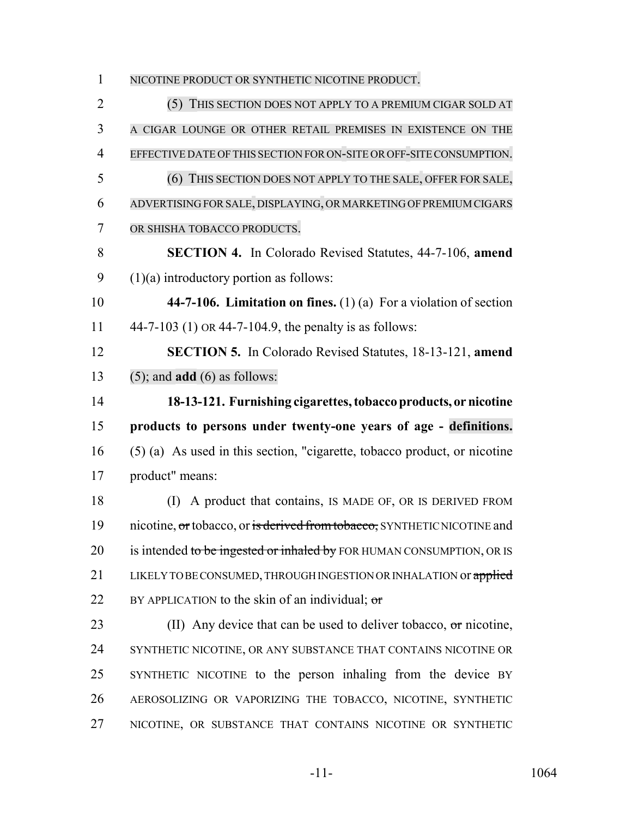NICOTINE PRODUCT OR SYNTHETIC NICOTINE PRODUCT. (5) THIS SECTION DOES NOT APPLY TO A PREMIUM CIGAR SOLD AT A CIGAR LOUNGE OR OTHER RETAIL PREMISES IN EXISTENCE ON THE EFFECTIVE DATE OF THIS SECTION FOR ON-SITE OR OFF-SITE CONSUMPTION. (6) THIS SECTION DOES NOT APPLY TO THE SALE, OFFER FOR SALE, ADVERTISING FORSALE, DISPLAYING, OR MARKETING OF PREMIUMCIGARS OR SHISHA TOBACCO PRODUCTS. **SECTION 4.** In Colorado Revised Statutes, 44-7-106, **amend**  $9 \qquad (1)(a)$  introductory portion as follows: **44-7-106. Limitation on fines.** (1) (a) For a violation of section 44-7-103 (1) OR 44-7-104.9, the penalty is as follows: **SECTION 5.** In Colorado Revised Statutes, 18-13-121, **amend** (5); and **add** (6) as follows: **18-13-121. Furnishing cigarettes, tobacco products, or nicotine products to persons under twenty-one years of age - definitions.** (5) (a) As used in this section, "cigarette, tobacco product, or nicotine product" means: (I) A product that contains, IS MADE OF, OR IS DERIVED FROM 19 nicotine, or tobacco, or is derived from tobacco, SYNTHETIC NICOTINE and 20 is intended to be ingested or inhaled by FOR HUMAN CONSUMPTION, OR IS 21 LIKELY TO BE CONSUMED, THROUGH INGESTION OR INHALATION or applied 22 BY APPLICATION to the skin of an individual;  $\sigma$ 23 (II) Any device that can be used to deliver tobacco,  $\sigma$ r nicotine, SYNTHETIC NICOTINE, OR ANY SUBSTANCE THAT CONTAINS NICOTINE OR SYNTHETIC NICOTINE to the person inhaling from the device BY AEROSOLIZING OR VAPORIZING THE TOBACCO, NICOTINE, SYNTHETIC NICOTINE, OR SUBSTANCE THAT CONTAINS NICOTINE OR SYNTHETIC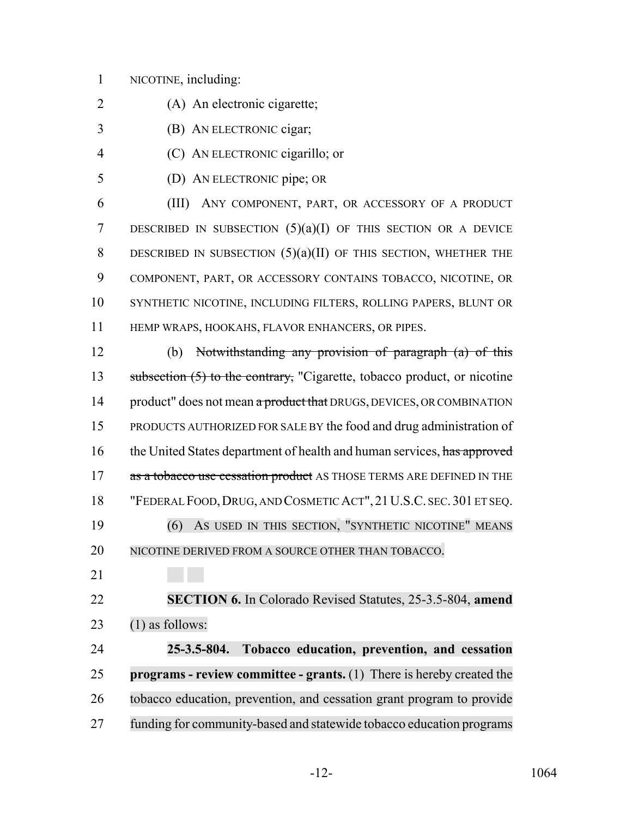## NICOTINE, including:

- (A) An electronic cigarette;
- (B) AN ELECTRONIC cigar;
- (C) AN ELECTRONIC cigarillo; or
- (D) AN ELECTRONIC pipe; OR

 (III) ANY COMPONENT, PART, OR ACCESSORY OF A PRODUCT DESCRIBED IN SUBSECTION (5)(a)(I) OF THIS SECTION OR A DEVICE 8 DESCRIBED IN SUBSECTION  $(5)(a)(II)$  of this section, whether the COMPONENT, PART, OR ACCESSORY CONTAINS TOBACCO, NICOTINE, OR SYNTHETIC NICOTINE, INCLUDING FILTERS, ROLLING PAPERS, BLUNT OR HEMP WRAPS, HOOKAHS, FLAVOR ENHANCERS, OR PIPES.

 (b) Notwithstanding any provision of paragraph (a) of this 13 subsection (5) to the contrary, "Cigarette, tobacco product, or nicotine 14 product" does not mean a product that DRUGS, DEVICES, OR COMBINATION PRODUCTS AUTHORIZED FOR SALE BY the food and drug administration of 16 the United States department of health and human services, has approved 17 as a tobacco use cessation product AS THOSE TERMS ARE DEFINED IN THE "FEDERAL FOOD,DRUG, AND COSMETIC ACT", 21U.S.C. SEC. 301 ET SEQ. (6) AS USED IN THIS SECTION, "SYNTHETIC NICOTINE" MEANS 20 NICOTINE DERIVED FROM A SOURCE OTHER THAN TOBACCO.

 **SECTION 6.** In Colorado Revised Statutes, 25-3.5-804, **amend** (1) as follows:

 **25-3.5-804. Tobacco education, prevention, and cessation programs - review committee - grants.** (1) There is hereby created the tobacco education, prevention, and cessation grant program to provide funding for community-based and statewide tobacco education programs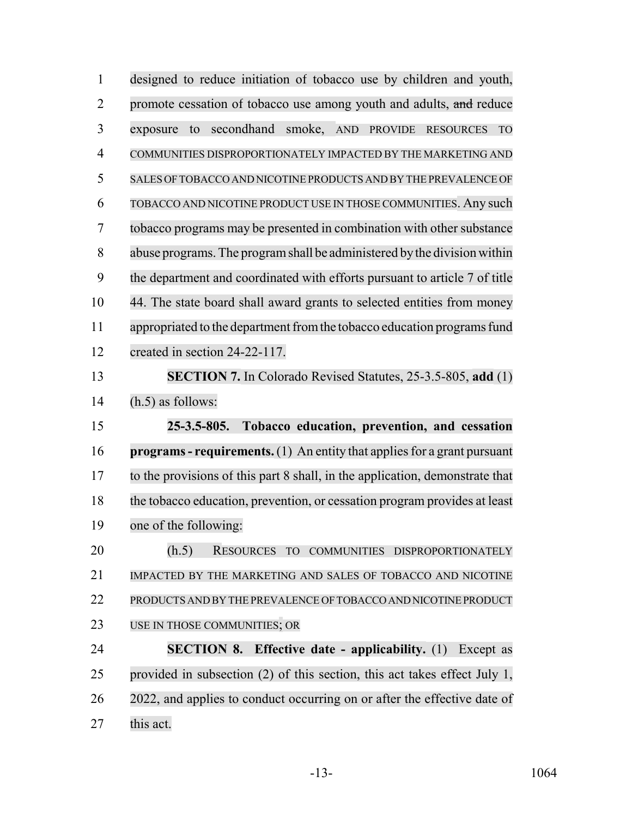| $\mathbf{1}$   | designed to reduce initiation of tobacco use by children and youth,                    |
|----------------|----------------------------------------------------------------------------------------|
| $\overline{2}$ | promote cessation of tobacco use among youth and adults, and reduce                    |
| 3              | secondhand<br>smoke, AND<br>exposure<br>to<br>PROVIDE<br><b>TO</b><br><b>RESOURCES</b> |
| 4              | COMMUNITIES DISPROPORTIONATELY IMPACTED BY THE MARKETING AND                           |
| 5              | SALES OF TOBACCO AND NICOTINE PRODUCTS AND BY THE PREVALENCE OF                        |
| 6              | TOBACCO AND NICOTINE PRODUCT USE IN THOSE COMMUNITIES. Any such                        |
| 7              | tobacco programs may be presented in combination with other substance                  |
| 8              | abuse programs. The program shall be administered by the division within               |
| 9              | the department and coordinated with efforts pursuant to article 7 of title             |
| 10             | 44. The state board shall award grants to selected entities from money                 |
| 11             | appropriated to the department from the tobacco education programs fund                |
| 12             | created in section 24-22-117.                                                          |
| 13             | <b>SECTION 7.</b> In Colorado Revised Statutes, 25-3.5-805, add (1)                    |
|                |                                                                                        |
| 14             | $(h.5)$ as follows:                                                                    |
| 15             | Tobacco education, prevention, and cessation<br>$25 - 3.5 - 805.$                      |
| 16             | $\mathbf{programs}$ - requirements. (1) An entity that applies for a grant pursuant    |
| 17             | to the provisions of this part 8 shall, in the application, demonstrate that           |
| 18             | the tobacco education, prevention, or cessation program provides at least              |
| 19             | one of the following:                                                                  |
| 20             | (h.5)<br>RESOURCES TO<br>COMMUNITIES DISPROPORTIONATELY                                |
| 21             | IMPACTED BY THE MARKETING AND SALES OF TOBACCO AND NICOTINE                            |
| 22             | PRODUCTS AND BY THE PREVALENCE OF TOBACCO AND NICOTINE PRODUCT                         |
| 23             | USE IN THOSE COMMUNITIES; OR                                                           |
| 24             | <b>SECTION 8. Effective date - applicability.</b> (1) Except as                        |
| 25             | provided in subsection $(2)$ of this section, this act takes effect July 1,            |
| 26             | 2022, and applies to conduct occurring on or after the effective date of               |